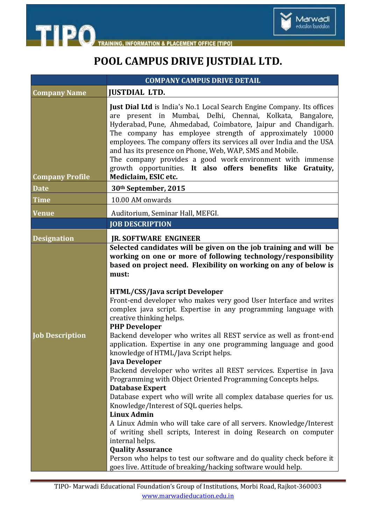



## **POOL CAMPUS DRIVE JUSTDIAL LTD.**

|                        | <b>COMPANY CAMPUS DRIVE DETAIL</b>                                                                                                                                                                                                                                                                                                                                                                                                                                                                                                                                                                                                                                                                                                                                                                                                                                                                                                                                                                                                                                                                                                                                                                                                                                                                |
|------------------------|---------------------------------------------------------------------------------------------------------------------------------------------------------------------------------------------------------------------------------------------------------------------------------------------------------------------------------------------------------------------------------------------------------------------------------------------------------------------------------------------------------------------------------------------------------------------------------------------------------------------------------------------------------------------------------------------------------------------------------------------------------------------------------------------------------------------------------------------------------------------------------------------------------------------------------------------------------------------------------------------------------------------------------------------------------------------------------------------------------------------------------------------------------------------------------------------------------------------------------------------------------------------------------------------------|
| <b>Company Name</b>    | <b>JUSTDIAL LTD.</b>                                                                                                                                                                                                                                                                                                                                                                                                                                                                                                                                                                                                                                                                                                                                                                                                                                                                                                                                                                                                                                                                                                                                                                                                                                                                              |
| <b>Company Profile</b> | Just Dial Ltd is India's No.1 Local Search Engine Company. Its offices<br>are present in Mumbai, Delhi, Chennai, Kolkata, Bangalore,<br>Hyderabad, Pune, Ahmedabad, Coimbatore, Jaipur and Chandigarh.<br>The company has employee strength of approximately 10000<br>employees. The company offers its services all over India and the USA<br>and has its presence on Phone, Web, WAP, SMS and Mobile.<br>The company provides a good work environment with immense<br>growth opportunities. It also offers benefits like Gratuity,<br>Mediclaim, ESIC etc.                                                                                                                                                                                                                                                                                                                                                                                                                                                                                                                                                                                                                                                                                                                                      |
| <b>Date</b>            | 30th September, 2015                                                                                                                                                                                                                                                                                                                                                                                                                                                                                                                                                                                                                                                                                                                                                                                                                                                                                                                                                                                                                                                                                                                                                                                                                                                                              |
| <b>Time</b>            | 10.00 AM onwards                                                                                                                                                                                                                                                                                                                                                                                                                                                                                                                                                                                                                                                                                                                                                                                                                                                                                                                                                                                                                                                                                                                                                                                                                                                                                  |
| <b>Venue</b>           | Auditorium, Seminar Hall, MEFGI.                                                                                                                                                                                                                                                                                                                                                                                                                                                                                                                                                                                                                                                                                                                                                                                                                                                                                                                                                                                                                                                                                                                                                                                                                                                                  |
|                        | <b>JOB DESCRIPTION</b>                                                                                                                                                                                                                                                                                                                                                                                                                                                                                                                                                                                                                                                                                                                                                                                                                                                                                                                                                                                                                                                                                                                                                                                                                                                                            |
| <b>Designation</b>     | <b>IR. SOFTWARE ENGINEER</b>                                                                                                                                                                                                                                                                                                                                                                                                                                                                                                                                                                                                                                                                                                                                                                                                                                                                                                                                                                                                                                                                                                                                                                                                                                                                      |
| <b>Job Description</b> | Selected candidates will be given on the job training and will be<br>working on one or more of following technology/responsibility<br>based on project need. Flexibility on working on any of below is<br>must:<br><b>HTML/CSS/Java script Developer</b><br>Front-end developer who makes very good User Interface and writes<br>complex java script. Expertise in any programming language with<br>creative thinking helps.<br><b>PHP Developer</b><br>Backend developer who writes all REST service as well as front-end<br>application. Expertise in any one programming language and good<br>knowledge of HTML/Java Script helps.<br>Java Developer<br>Backend developer who writes all REST services. Expertise in Java<br>Programming with Object Oriented Programming Concepts helps.<br><b>Database Expert</b><br>Database expert who will write all complex database queries for us.<br>Knowledge/Interest of SQL queries helps.<br><b>Linux Admin</b><br>A Linux Admin who will take care of all servers. Knowledge/Interest<br>of writing shell scripts, Interest in doing Research on computer<br>internal helps.<br><b>Quality Assurance</b><br>Person who helps to test our software and do quality check before it<br>goes live. Attitude of breaking/hacking software would help. |